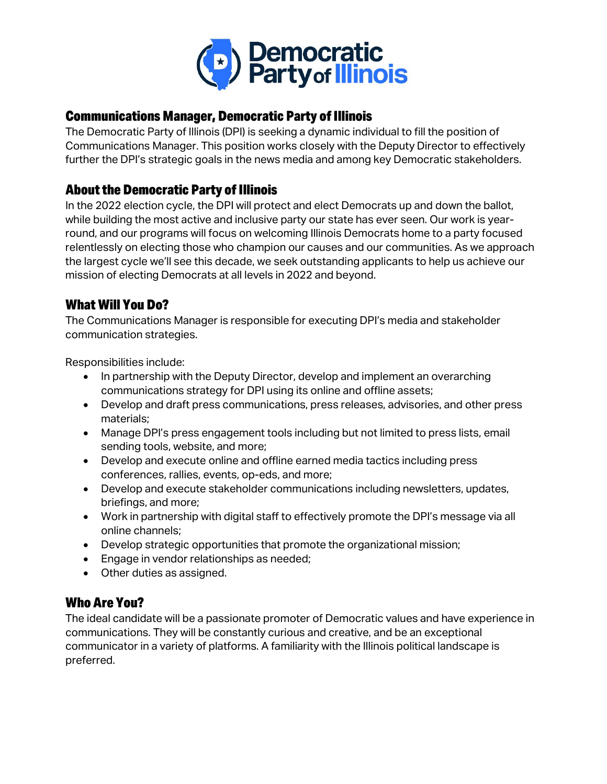

### Communications Manager, Democratic Party of Illinois

The Democratic Party of Illinois (DPI) is seeking a dynamic individual to fill the position of Communications Manager. This position works closely with the Deputy Director to effectively further the DPI's strategic goals in the news media and among key Democratic stakeholders.

### About the Democratic Party of Illinois

In the 2022 election cycle, the DPI will protect and elect Democrats up and down the ballot, while building the most active and inclusive party our state has ever seen. Our work is yearround, and our programs will focus on welcoming Illinois Democrats home to a party focused relentlessly on electing those who champion our causes and our communities. As we approach the largest cycle we'll see this decade, we seek outstanding applicants to help us achieve our mission of electing Democrats at all levels in 2022 and beyond.

### What Will You Do?

The Communications Manager is responsible for executing DPI's media and stakeholder communication strategies.

Responsibilities include:

- In partnership with the Deputy Director, develop and implement an overarching communications strategy for DPI using its online and offline assets;
- Develop and draft press communications, press releases, advisories, and other press materials;
- Manage DPI's press engagement tools including but not limited to press lists, email sending tools, website, and more;
- Develop and execute online and offline earned media tactics including press conferences, rallies, events, op-eds, and more;
- Develop and execute stakeholder communications including newsletters, updates, briefings, and more;
- Work in partnership with digital staff to effectively promote the DPI's message via all online channels;
- Develop strategic opportunities that promote the organizational mission;
- Engage in vendor relationships as needed;
- Other duties as assigned.

#### Who Are You?

The ideal candidate will be a passionate promoter of Democratic values and have experience in communications. They will be constantly curious and creative, and be an exceptional communicator in a variety of platforms. A familiarity with the Illinois political landscape is preferred.